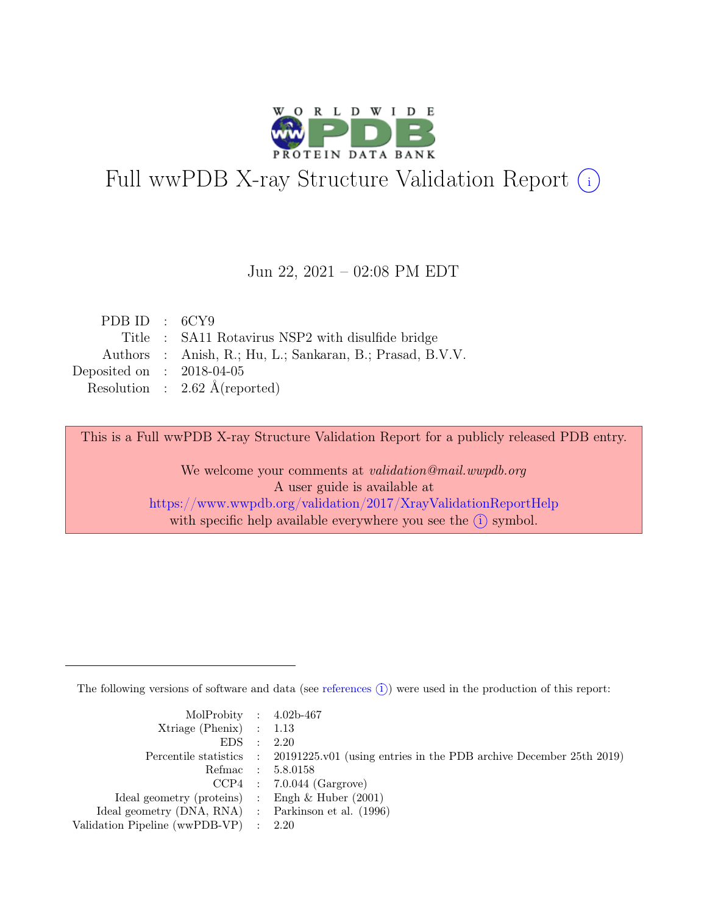

# Full wwPDB X-ray Structure Validation Report  $(i)$

#### Jun 22, 2021 – 02:08 PM EDT

| PDB ID : $6CY9$             |                                                           |
|-----------------------------|-----------------------------------------------------------|
|                             | Title : SA11 Rotavirus NSP2 with disulfide bridge         |
|                             | Authors : Anish, R.; Hu, L.; Sankaran, B.; Prasad, B.V.V. |
| Deposited on : $2018-04-05$ |                                                           |
|                             | Resolution : $2.62 \text{ Å}$ (reported)                  |
|                             |                                                           |

This is a Full wwPDB X-ray Structure Validation Report for a publicly released PDB entry.

We welcome your comments at validation@mail.wwpdb.org A user guide is available at <https://www.wwpdb.org/validation/2017/XrayValidationReportHelp> with specific help available everywhere you see the  $(i)$  symbol.

The following versions of software and data (see [references](https://www.wwpdb.org/validation/2017/XrayValidationReportHelp#references)  $(i)$ ) were used in the production of this report:

| MolProbity : $4.02b-467$                            |                                                                                            |
|-----------------------------------------------------|--------------------------------------------------------------------------------------------|
| $Xtriangle (Phenix)$ : 1.13                         |                                                                                            |
| EDS : 2.20                                          |                                                                                            |
|                                                     | Percentile statistics : 20191225.v01 (using entries in the PDB archive December 25th 2019) |
|                                                     | Refmac : 5.8.0158                                                                          |
|                                                     | $CCP4$ : 7.0.044 (Gargrove)                                                                |
| Ideal geometry (proteins) : Engh $\&$ Huber (2001)  |                                                                                            |
| Ideal geometry (DNA, RNA) : Parkinson et al. (1996) |                                                                                            |
| Validation Pipeline (wwPDB-VP) : 2.20               |                                                                                            |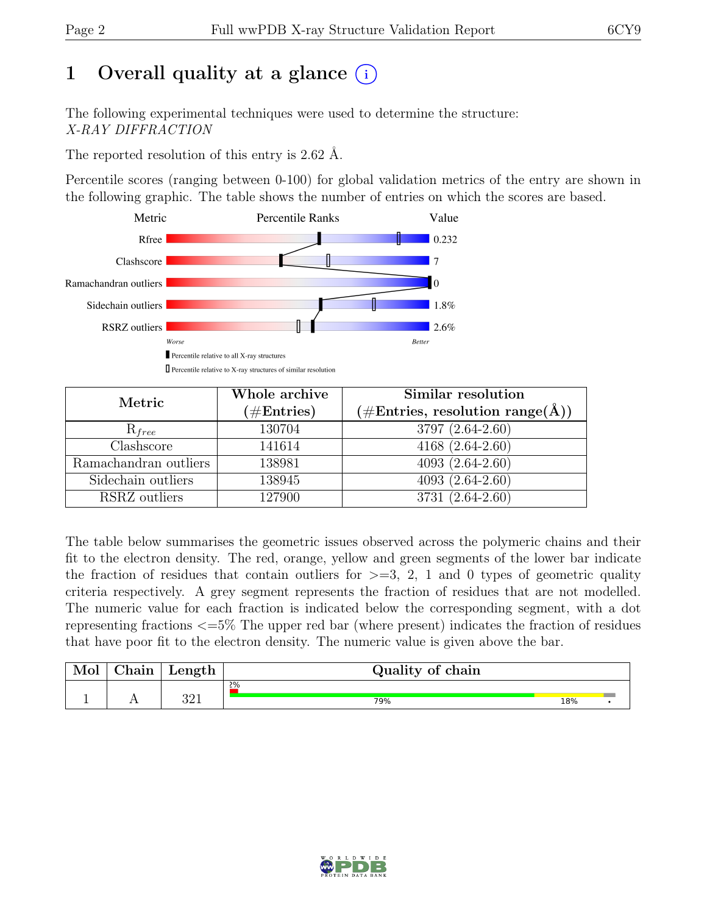## 1 Overall quality at a glance  $(i)$

The following experimental techniques were used to determine the structure: X-RAY DIFFRACTION

The reported resolution of this entry is 2.62 Å.

Percentile scores (ranging between 0-100) for global validation metrics of the entry are shown in the following graphic. The table shows the number of entries on which the scores are based.



| Metric                | Whole archive<br>$(\#\text{Entries})$ | Similar resolution<br>$(\# \text{Entries}, \text{ resolution range}(\AA))$ |
|-----------------------|---------------------------------------|----------------------------------------------------------------------------|
| $R_{free}$            | 130704                                | 3797 (2.64-2.60)                                                           |
| Clashscore            | 141614                                | $4168(2.64-2.60)$                                                          |
| Ramachandran outliers | 138981                                | $\overline{4093}$ $(2.64-2.60)$                                            |
| Sidechain outliers    | 138945                                | $4093(2.64-2.60)$                                                          |
| RSRZ outliers         | 127900                                | 3731 (2.64-2.60)                                                           |

The table below summarises the geometric issues observed across the polymeric chains and their fit to the electron density. The red, orange, yellow and green segments of the lower bar indicate the fraction of residues that contain outliers for  $\geq$ =3, 2, 1 and 0 types of geometric quality criteria respectively. A grey segment represents the fraction of residues that are not modelled. The numeric value for each fraction is indicated below the corresponding segment, with a dot representing fractions <=5% The upper red bar (where present) indicates the fraction of residues that have poor fit to the electron density. The numeric value is given above the bar.

| Mol      | ~ı<br>hain<br>люнт | $\mu$ ength <sup>+</sup> | Quality of chain |     |  |
|----------|--------------------|--------------------------|------------------|-----|--|
|          |                    |                          | 2%               |     |  |
| <u>.</u> | $\overline{1}$     | റവ<br>ບ∠⊥                | 79%              | 18% |  |

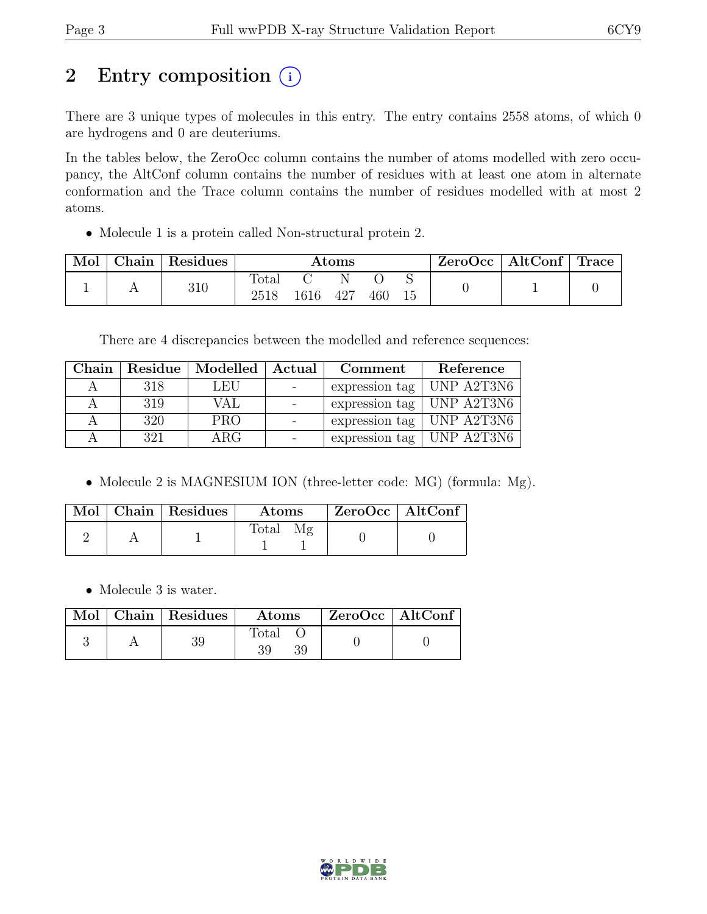## 2 Entry composition  $(i)$

There are 3 unique types of molecules in this entry. The entry contains 2558 atoms, of which 0 are hydrogens and 0 are deuteriums.

In the tables below, the ZeroOcc column contains the number of atoms modelled with zero occupancy, the AltConf column contains the number of residues with at least one atom in alternate conformation and the Trace column contains the number of residues modelled with at most 2 atoms.

• Molecule 1 is a protein called Non-structural protein 2.

| Mol | Chain | Residues | $\rm{Atoms}$           |      |     |     | $ZeroOcc \mid AltConf \mid$ | <b>Trace</b> |  |
|-----|-------|----------|------------------------|------|-----|-----|-----------------------------|--------------|--|
|     |       | 310      | $\text{Total}$<br>2518 | 1616 | 427 | 460 |                             |              |  |

There are 4 discrepancies between the modelled and reference sequences:

| Chain |     | Residue   Modelled   Actual |                          | Comment                           | Reference          |
|-------|-----|-----------------------------|--------------------------|-----------------------------------|--------------------|
|       | 318 | LEU                         |                          | expression tag                    | $ $ UNP A2T3N6     |
|       | 319 | VAL                         | $\overline{\phantom{a}}$ | expression tag                    | $\vert$ UNP A2T3N6 |
|       | 320 | <b>PRO</b>                  | $\overline{\phantom{a}}$ | expression tag   UNP $A2T3N6$     |                    |
|       | 321 | $\rm{ARG}$                  |                          | expression tag $\vert$ UNP A2T3N6 |                    |

• Molecule 2 is MAGNESIUM ION (three-letter code: MG) (formula: Mg).

|  | Mol   Chain   Residues | Atoms          | $ZeroOcc \   \ AltConf$ |  |
|--|------------------------|----------------|-------------------------|--|
|  |                        | $\text{Total}$ |                         |  |

• Molecule 3 is water.

|  | Mol   Chain   Residues | Atoms       | ZeroOcc   AltConf |  |
|--|------------------------|-------------|-------------------|--|
|  | 39                     | Total<br>39 |                   |  |

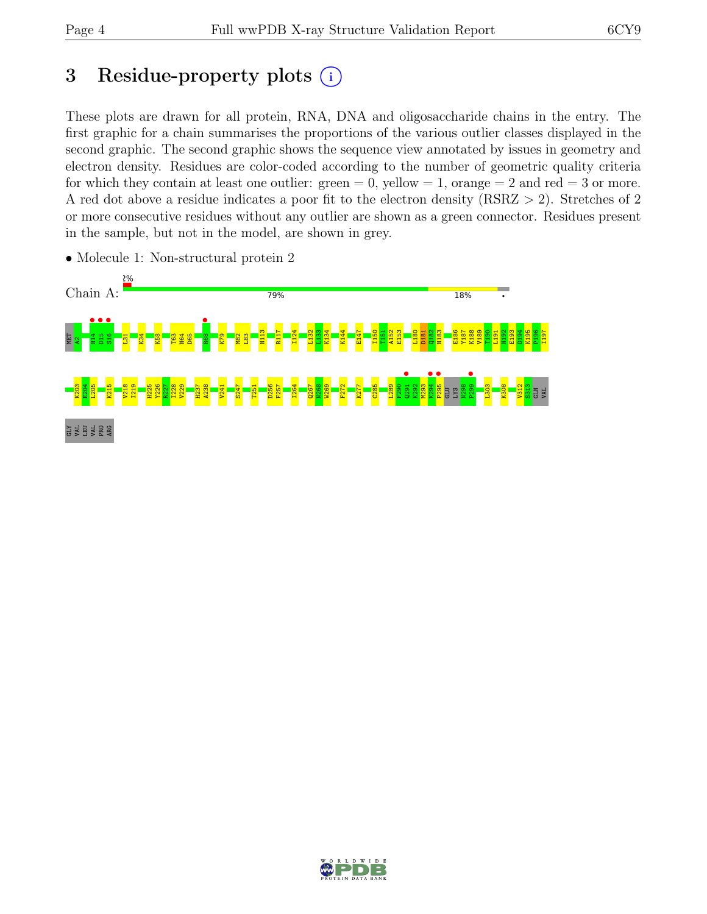## 3 Residue-property plots  $(i)$

These plots are drawn for all protein, RNA, DNA and oligosaccharide chains in the entry. The first graphic for a chain summarises the proportions of the various outlier classes displayed in the second graphic. The second graphic shows the sequence view annotated by issues in geometry and electron density. Residues are color-coded according to the number of geometric quality criteria for which they contain at least one outlier:  $green = 0$ , yellow  $= 1$ , orange  $= 2$  and red  $= 3$  or more. A red dot above a residue indicates a poor fit to the electron density (RSRZ > 2). Stretches of 2 or more consecutive residues without any outlier are shown as a green connector. Residues present in the sample, but not in the model, are shown in grey.



• Molecule 1: Non-structural protein 2

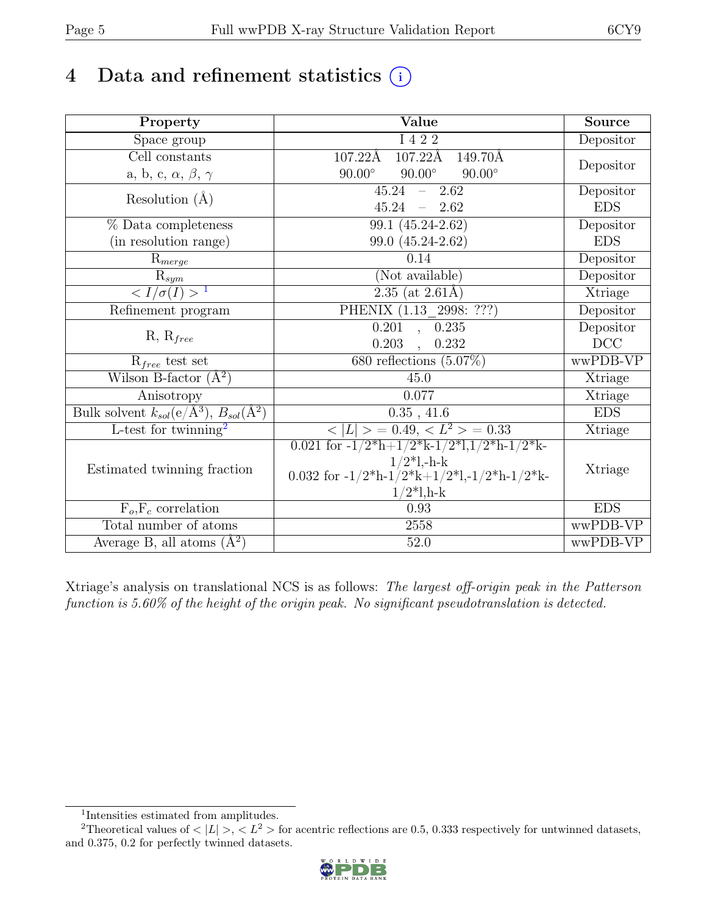## 4 Data and refinement statistics  $(i)$

| Property                                                             | Value                                                                                                                        | <b>Source</b> |
|----------------------------------------------------------------------|------------------------------------------------------------------------------------------------------------------------------|---------------|
| Space group                                                          | I 4 2 2                                                                                                                      | Depositor     |
| Cell constants                                                       | $107.22\text{\AA}$<br>$107.22\text{\AA}$<br>149.70Å                                                                          |               |
| a, b, c, $\alpha$ , $\beta$ , $\gamma$                               | $90.00^\circ$<br>$90.00^\circ$<br>$90.00^\circ$                                                                              | Depositor     |
| Resolution $(A)$                                                     | $45.24 - 2.62$                                                                                                               | Depositor     |
|                                                                      | $45.24 - 2.62$                                                                                                               | <b>EDS</b>    |
| % Data completeness                                                  | 99.1 (45.24-2.62)                                                                                                            | Depositor     |
| (in resolution range)                                                | 99.0 (45.24-2.62)                                                                                                            | <b>EDS</b>    |
| $R_{merge}$                                                          | 0.14                                                                                                                         | Depositor     |
| $\mathrm{R}_{sym}$                                                   | (Not available)                                                                                                              | Depositor     |
| $\langle I/\sigma(I) \rangle$ <sup>1</sup>                           | $2.35$ (at 2.61Å)                                                                                                            | Xtriage       |
| Refinement program                                                   | PHENIX (1.13 2998: ???)                                                                                                      | Depositor     |
|                                                                      | 0.201, 0.235                                                                                                                 | Depositor     |
| $R, R_{free}$                                                        | $0.203$ , $0.232$                                                                                                            | $DCC$         |
| $R_{free}$ test set                                                  | 680 reflections $(5.07\%)$                                                                                                   | wwPDB-VP      |
| Wilson B-factor $(A^2)$                                              | 45.0                                                                                                                         | Xtriage       |
| Anisotropy                                                           | 0.077                                                                                                                        | Xtriage       |
| Bulk solvent $k_{sol}(\text{e}/\text{\AA}^3), B_{sol}(\text{\AA}^2)$ | 0.35, 41.6                                                                                                                   | <b>EDS</b>    |
| $L$ -test for twinning <sup>2</sup>                                  | $< L >$ = 0.49, $< L^2 >$ = 0.33                                                                                             | Xtriage       |
|                                                                      | 0.021 for $-1/2$ <sup>*</sup> h+ $1/2$ <sup>*</sup> k- $1/2$ <sup>*</sup> l, $1/2$ <sup>*</sup> h- $1/2$ <sup>*</sup> k-     |               |
| Estimated twinning fraction                                          | $1/2$ *l,-h-k                                                                                                                | Xtriage       |
|                                                                      | 0.032 for $-1/2$ <sup>*</sup> h $-1/2$ <sup>*</sup> k $+1/2$ <sup>*</sup> l, $-1/2$ <sup>*</sup> h $-1/2$ <sup>*</sup> k $-$ |               |
|                                                                      | $1/2*1, h-k$                                                                                                                 |               |
| $F_o, F_c$ correlation                                               | 0.93                                                                                                                         | <b>EDS</b>    |
| Total number of atoms                                                | 2558                                                                                                                         | wwPDB-VP      |
| Average B, all atoms $(\AA^2)$                                       | $52.0\,$                                                                                                                     | wwPDB-VP      |

Xtriage's analysis on translational NCS is as follows: The largest off-origin peak in the Patterson function is 5.60% of the height of the origin peak. No significant pseudotranslation is detected.

<sup>&</sup>lt;sup>2</sup>Theoretical values of  $\langle |L| \rangle$ ,  $\langle L^2 \rangle$  for acentric reflections are 0.5, 0.333 respectively for untwinned datasets, and 0.375, 0.2 for perfectly twinned datasets.



<span id="page-4-1"></span><span id="page-4-0"></span><sup>1</sup> Intensities estimated from amplitudes.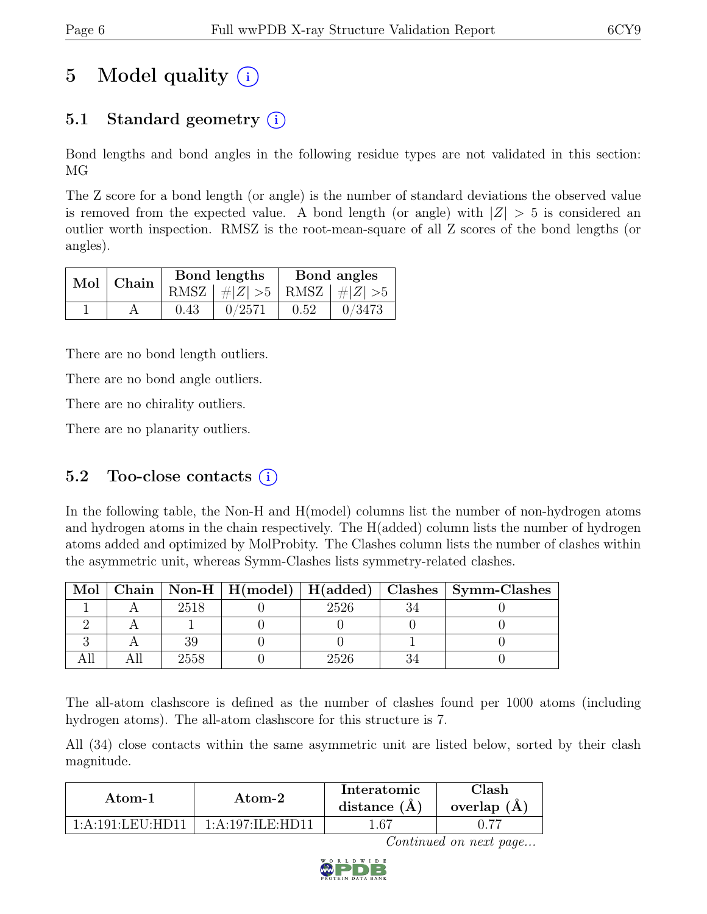# 5 Model quality  $(i)$

## 5.1 Standard geometry  $(i)$

Bond lengths and bond angles in the following residue types are not validated in this section: MG

The Z score for a bond length (or angle) is the number of standard deviations the observed value is removed from the expected value. A bond length (or angle) with  $|Z| > 5$  is considered an outlier worth inspection. RMSZ is the root-mean-square of all Z scores of the bond lengths (or angles).

| Mol   Chain |      | Bond lengths                    | Bond angles |        |  |
|-------------|------|---------------------------------|-------------|--------|--|
|             |      | RMSZ $ #Z  > 5$ RMSZ $ #Z  > 5$ |             |        |  |
|             | 0.43 | 0/2571                          | 0.52        | 0/3473 |  |

There are no bond length outliers.

There are no bond angle outliers.

There are no chirality outliers.

There are no planarity outliers.

### 5.2 Too-close contacts  $(i)$

In the following table, the Non-H and H(model) columns list the number of non-hydrogen atoms and hydrogen atoms in the chain respectively. The H(added) column lists the number of hydrogen atoms added and optimized by MolProbity. The Clashes column lists the number of clashes within the asymmetric unit, whereas Symm-Clashes lists symmetry-related clashes.

| Mol |      |      | Chain   Non-H   H(model)   H(added)   Clashes   Symm-Clashes |
|-----|------|------|--------------------------------------------------------------|
|     | 2518 | 2526 |                                                              |
|     |      |      |                                                              |
|     |      |      |                                                              |
|     | 2558 | 2526 |                                                              |

The all-atom clashscore is defined as the number of clashes found per 1000 atoms (including hydrogen atoms). The all-atom clashscore for this structure is 7.

All (34) close contacts within the same asymmetric unit are listed below, sorted by their clash magnitude.

| Atom-1           | Atom-2             |      | ${\rm Class}h$<br>overlap $(A)$ |
|------------------|--------------------|------|---------------------------------|
| 1:A:191:LEU:HD11 | 1: A:197: ILE:HD11 | 1.67 |                                 |

Continued on next page...

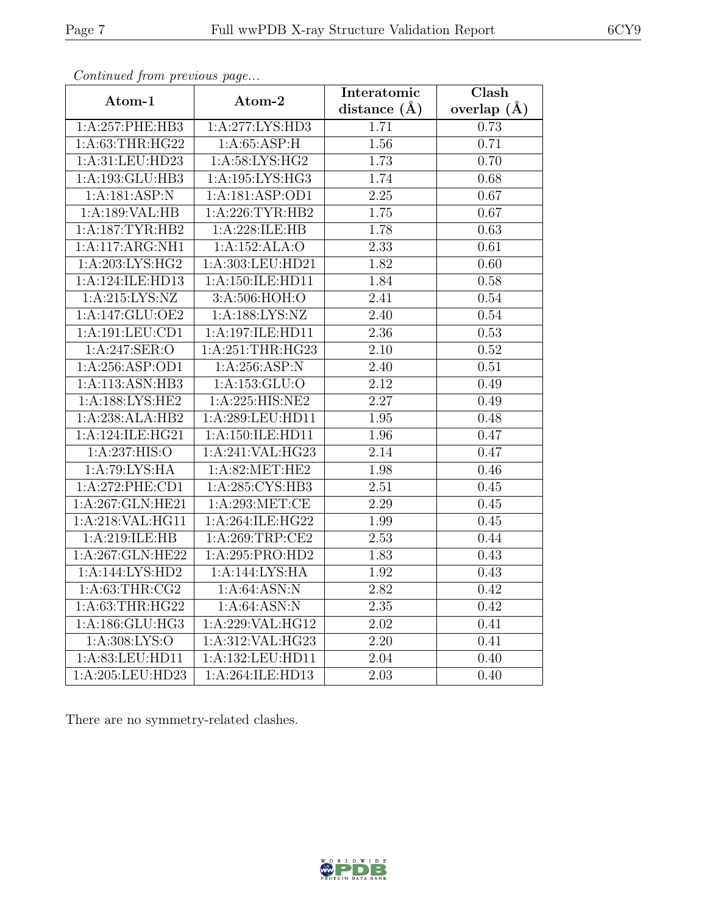| Continuum from protious page      |                           | Interatomic      | Clash         |
|-----------------------------------|---------------------------|------------------|---------------|
| Atom-1                            | Atom-2                    | distance $(\AA)$ | overlap $(A)$ |
| 1:A:257:PHE:HB3                   | 1:A:277:LYS:HD3           | 1.71             | 0.73          |
| 1: A:63:THR:HG22                  | 1: A:65:ASP:H             | 1.56             | 0.71          |
| 1:A:31:LEU:HD23                   | 1: A:58: LYS: HG2         | 1.73             | 0.70          |
| 1:A:193:GLU:HB3                   | 1: A: 195: LYS: HG3       | 1.74             | 0.68          |
| 1:A:181:ASP:N                     | 1:A:181:ASP:OD1           | 2.25             | 0.67          |
| 1:A:189:VAL:HB                    | 1: A:226:TYR:HB2          | 1.75             | 0.67          |
| 1:A:187:TYR:HB2                   | 1:A:228:ILE:HB            | 1.78             | 0.63          |
| 1:A:117:ARG:NH1                   | 1:A:152:ALA:O             | 2.33             | 0.61          |
| 1:A:203:LYS:HG2                   | 1:A:303:LEU:HD21          | 1.82             | 0.60          |
| 1:A:124:ILE:HD13                  | 1:A:150:ILE:HD11          | 1.84             | 0.58          |
| 1: A:215: LYS: NZ                 | 3:A:506:HOH:O             | 2.41             | 0.54          |
| 1:A:147:GLU:OE2                   | 1:A:188:LYS:NZ            | 2.40             | 0.54          |
| 1: A: 191: LEU: CD1               | 1:A:197:ILE:HD11          | 2.36             | 0.53          |
| $1:A:247:\overline{\text{SER}:O}$ | 1:A:251:THR:HG23          | 2.10             | 0.52          |
| 1:A:256:ASP:OD1                   | 1:A:256:ASP:N             | 2.40             | 0.51          |
| 1:A:113:ASN:HB3                   | 1:A:153:GLU:O             | 2.12             | 0.49          |
| 1: A: 188: LYS: HE2               | 1:A:225:HIS:NE2           | 2.27             | 0.49          |
| 1:A:238:ALA:HB2                   | 1:A:289:LEU:HD11          | 1.95             | 0.48          |
| 1:A:124:ILE:HG21                  | 1:A:150:ILE:HD11          | 1.96             | 0.47          |
| 1:A:237:HIS:O                     | 1:A:241:VAL:HG23          | 2.14             | 0.47          |
| 1: A:79: LYS: HA                  | 1:A:82:MET:HE2            | 1.98             | 0.46          |
| 1:A:272:PHE:CD1                   | 1:A:285:CYS:HB3           | 2.51             | 0.45          |
| 1:A:267:GLN:HE21                  | 1:A:293:MET:CE            | 2.29             | 0.45          |
| 1:A:218:VAL:HG11                  | 1:A:264:ILE:HG22          | 1.99             | 0.45          |
| 1:A:219:ILE:HB                    | 1: A:269:TRP:CE2          | 2.53             | 0.44          |
| 1:A:267:GLN:HE22                  | 1:A:295:PRO:HD2           | 1.83             | 0.43          |
| 1:A:144:LYS:HD2                   | 1:A:144:LYS:HA            | 1.92             | 0.43          |
| 1: A:63:THR:CG2                   | 1: A:64: ASN: N           | 2.82             | 0.42          |
| 1: A:63:THR:HG22                  | $1:A:64:\overline{ASN:N}$ | 2.35             | 0.42          |
| 1:A:186:GLU:HG3                   | 1:A:229:VAL:HG12          | 2.02             | 0.41          |
| 1: A:308: LYS:O                   | 1:A:312:VAL:HG23          | 2.20             | 0.41          |
| 1:A:83:LEU:HD11                   | 1:A:132:LEU:HD11          | 2.04             | 0.40          |
| 1:A:205:LEU:HD23                  | 1:A:264:ILE:HD13          | 2.03             | 0.40          |

Continued from previous page.

There are no symmetry-related clashes.

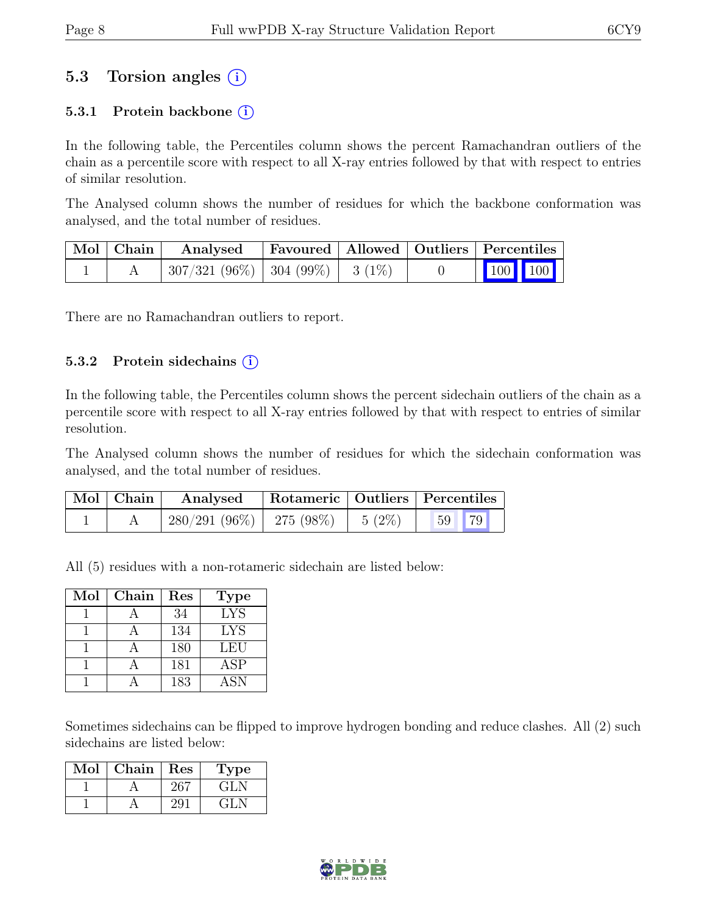### 5.3 Torsion angles  $(i)$

#### 5.3.1 Protein backbone  $(i)$

In the following table, the Percentiles column shows the percent Ramachandran outliers of the chain as a percentile score with respect to all X-ray entries followed by that with respect to entries of similar resolution.

The Analysed column shows the number of residues for which the backbone conformation was analysed, and the total number of residues.

| $\vert$ Mol $\vert$ Chain $\vert$ | Analysed                                | Favoured   Allowed   Outliers   Percentiles |  |                                                                                                                                                                                |  |
|-----------------------------------|-----------------------------------------|---------------------------------------------|--|--------------------------------------------------------------------------------------------------------------------------------------------------------------------------------|--|
|                                   | $307/321$ (96\%)   304 (99\%)   3 (1\%) |                                             |  | $\begin{array}{ c c c c c }\n\hline\n\multicolumn{1}{ c }{\hspace{1.2cm}100} & \multicolumn{1}{ c }{\hspace{1.2cm}100} & \multicolumn{1}{ c }{\hspace{1.2cm}100}\n\end{array}$ |  |

There are no Ramachandran outliers to report.

#### 5.3.2 Protein side chains  $(i)$

In the following table, the Percentiles column shows the percent sidechain outliers of the chain as a percentile score with respect to all X-ray entries followed by that with respect to entries of similar resolution.

The Analysed column shows the number of residues for which the sidechain conformation was analysed, and the total number of residues.

| $\mid$ Mol $\mid$ Chain $\mid$ | Analysed                               |  | Rotameric   Outliers   Percentiles |  |
|--------------------------------|----------------------------------------|--|------------------------------------|--|
|                                | $280/291(96\%)$   275 (98\%)   5 (2\%) |  | 59 79                              |  |

All (5) residues with a non-rotameric sidechain are listed below:

| Mol | Chain | Res | <b>Type</b> |
|-----|-------|-----|-------------|
|     |       | 34  | <b>LYS</b>  |
|     |       | 134 | <b>LYS</b>  |
|     |       | 180 | LEU         |
|     |       | 181 | ASP         |
|     |       | 183 | <b>ASN</b>  |

Sometimes sidechains can be flipped to improve hydrogen bonding and reduce clashes. All (2) such sidechains are listed below:

| Mol | Chain | Res | ype    |
|-----|-------|-----|--------|
|     |       |     | -641.7 |
|     |       |     |        |

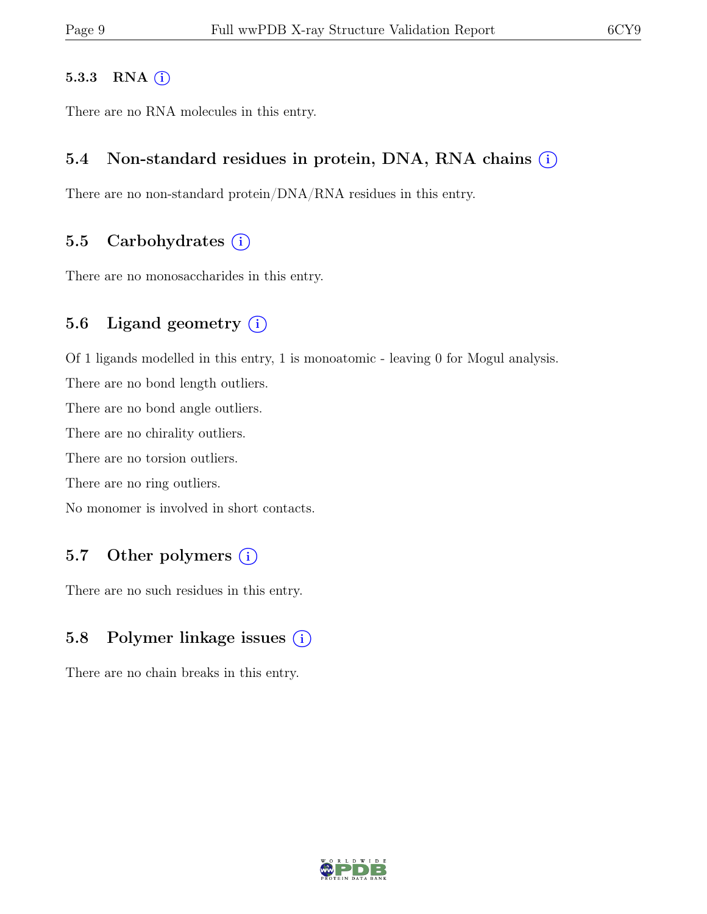#### 5.3.3 RNA  $(i)$

There are no RNA molecules in this entry.

#### 5.4 Non-standard residues in protein, DNA, RNA chains  $(i)$

There are no non-standard protein/DNA/RNA residues in this entry.

#### 5.5 Carbohydrates  $(i)$

There are no monosaccharides in this entry.

#### 5.6 Ligand geometry  $(i)$

Of 1 ligands modelled in this entry, 1 is monoatomic - leaving 0 for Mogul analysis.

There are no bond length outliers.

There are no bond angle outliers.

There are no chirality outliers.

There are no torsion outliers.

There are no ring outliers.

No monomer is involved in short contacts.

### 5.7 Other polymers (i)

There are no such residues in this entry.

### 5.8 Polymer linkage issues  $(i)$

There are no chain breaks in this entry.

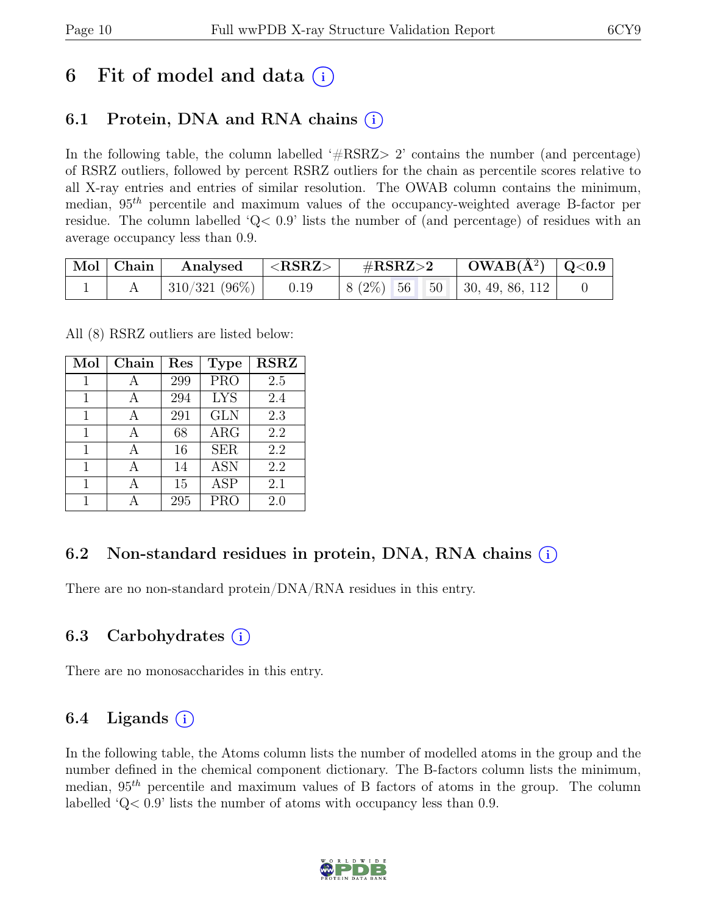## 6 Fit of model and data  $(i)$

## 6.1 Protein, DNA and RNA chains (i)

In the following table, the column labelled  $#RSRZ>2$  contains the number (and percentage) of RSRZ outliers, followed by percent RSRZ outliers for the chain as percentile scores relative to all X-ray entries and entries of similar resolution. The OWAB column contains the minimum, median,  $95<sup>th</sup>$  percentile and maximum values of the occupancy-weighted average B-factor per residue. The column labelled 'Q< 0.9' lists the number of (and percentage) of residues with an average occupancy less than 0.9.

| Mol   Chain | $\mid$ Analysed $\mid$ <rsrz> <math>\mid</math></rsrz> | $\mathrm{\#RSRZ{>}2}$ |                                                   |  |
|-------------|--------------------------------------------------------|-----------------------|---------------------------------------------------|--|
|             | 310/321 (96%)   0.19                                   |                       | $\vert 8 (2\%) 56 50 \vert 30, 49, 86, 112 \vert$ |  |

All (8) RSRZ outliers are listed below:

| Mol | Chain | $\operatorname{Res}% \left( \mathcal{N}\right) \equiv\operatorname*{Res}\left( \mathcal{N}\right)$ | <b>Type</b> | $\overline{\text{RSR}}$ |
|-----|-------|----------------------------------------------------------------------------------------------------|-------------|-------------------------|
| 1   | А     | 299                                                                                                | <b>PRO</b>  | 2.5                     |
| 1   | А     | 294                                                                                                | <b>LYS</b>  | 2.4                     |
| 1   | А     | 291                                                                                                | <b>GLN</b>  | 2.3                     |
| 1   |       | 68                                                                                                 | ARG         | 2.2                     |
| 1   |       | 16                                                                                                 | <b>SER</b>  | 2.2                     |
| 1   |       | 14                                                                                                 | <b>ASN</b>  | 2.2                     |
| 1   |       | 15                                                                                                 | <b>ASP</b>  | 2.1                     |
|     |       | 295                                                                                                | <b>PRO</b>  | 2.0                     |

### 6.2 Non-standard residues in protein, DNA, RNA chains (i)

There are no non-standard protein/DNA/RNA residues in this entry.

### 6.3 Carbohydrates (i)

There are no monosaccharides in this entry.

### 6.4 Ligands  $(i)$

In the following table, the Atoms column lists the number of modelled atoms in the group and the number defined in the chemical component dictionary. The B-factors column lists the minimum, median,  $95<sup>th</sup>$  percentile and maximum values of B factors of atoms in the group. The column labelled 'Q< 0.9' lists the number of atoms with occupancy less than 0.9.